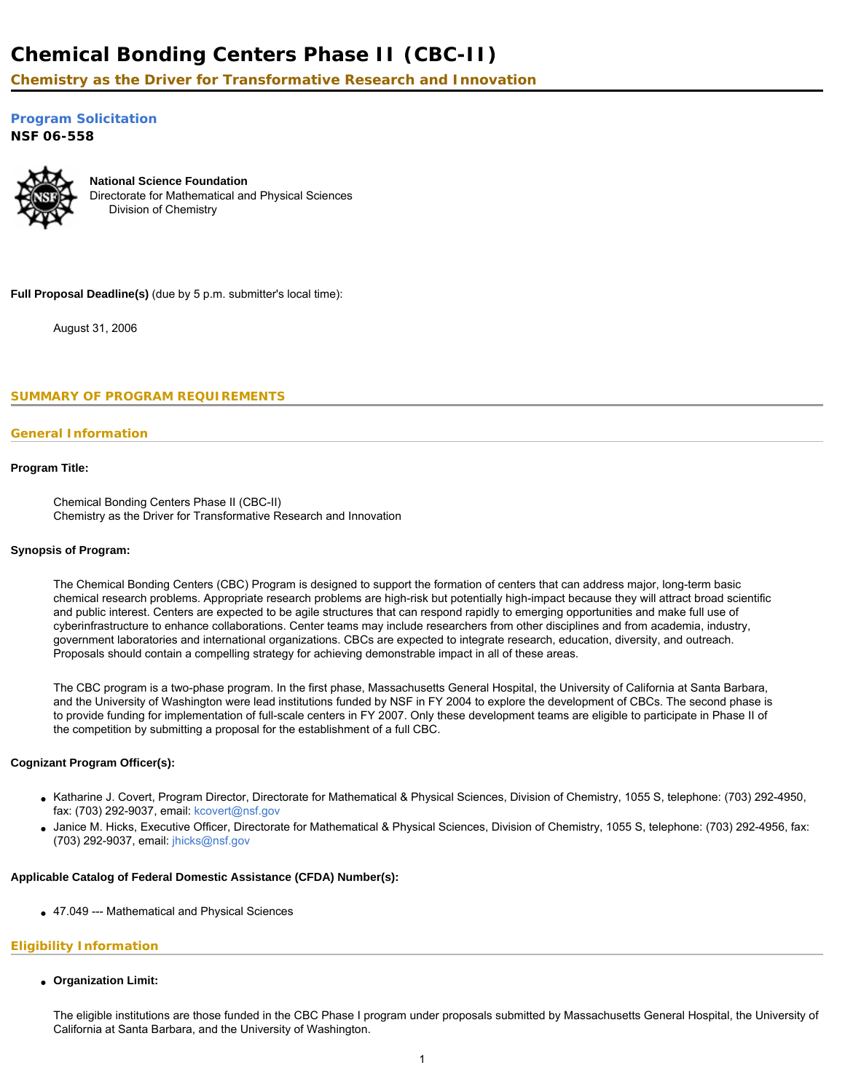# **Chemical Bonding Centers Phase II (CBC-II)**

**Chemistry as the Driver for Transformative Research and Innovation**

**[Program Solicitation](#page-1-0)** 

**NSF 06-558** 



**National Science Foundation** Directorate for Mathematical and Physical Sciences Division of Chemistry

**Full Proposal Deadline(s)** (due by 5 p.m. submitter's local time):

August 31, 2006

<span id="page-0-0"></span>**SUMMARY OF PROGRAM REQUIREMENTS**

# **General Information**

### **Program Title:**

Chemical Bonding Centers Phase II (CBC-II) Chemistry as the Driver for Transformative Research and Innovation

#### **Synopsis of Program:**

The Chemical Bonding Centers (CBC) Program is designed to support the formation of centers that can address major, long-term basic chemical research problems. Appropriate research problems are high-risk but potentially high-impact because they will attract broad scientific and public interest. Centers are expected to be agile structures that can respond rapidly to emerging opportunities and make full use of cyberinfrastructure to enhance collaborations. Center teams may include researchers from other disciplines and from academia, industry, government laboratories and international organizations. CBCs are expected to integrate research, education, diversity, and outreach. Proposals should contain a compelling strategy for achieving demonstrable impact in all of these areas.

The CBC program is a two-phase program. In the first phase, Massachusetts General Hospital, the University of California at Santa Barbara, and the University of Washington were lead institutions funded by NSF in FY 2004 to explore the development of CBCs. The second phase is to provide funding for implementation of full-scale centers in FY 2007. Only these development teams are eligible to participate in Phase II of the competition by submitting a proposal for the establishment of a full CBC.

### **Cognizant Program Officer(s):**

- Katharine J. Covert, Program Director, Directorate for Mathematical & Physical Sciences, Division of Chemistry, 1055 S, telephone: (703) 292-4950, fax: (703) 292-9037, email: [kcovert@nsf.gov](mailto:kcovert@nsf.gov)
- Janice M. Hicks, Executive Officer, Directorate for Mathematical & Physical Sciences, Division of Chemistry, 1055 S, telephone: (703) 292-4956, fax: (703) 292-9037, email: [jhicks@nsf.gov](mailto:jhicks@nsf.gov)

### **Applicable Catalog of Federal Domestic Assistance (CFDA) Number(s):**

● 47.049 --- Mathematical and Physical Sciences

# **Eligibility Information**

● **Organization Limit:** 

The eligible institutions are those funded in the CBC Phase I program under proposals submitted by Massachusetts General Hospital, the University of California at Santa Barbara, and the University of Washington.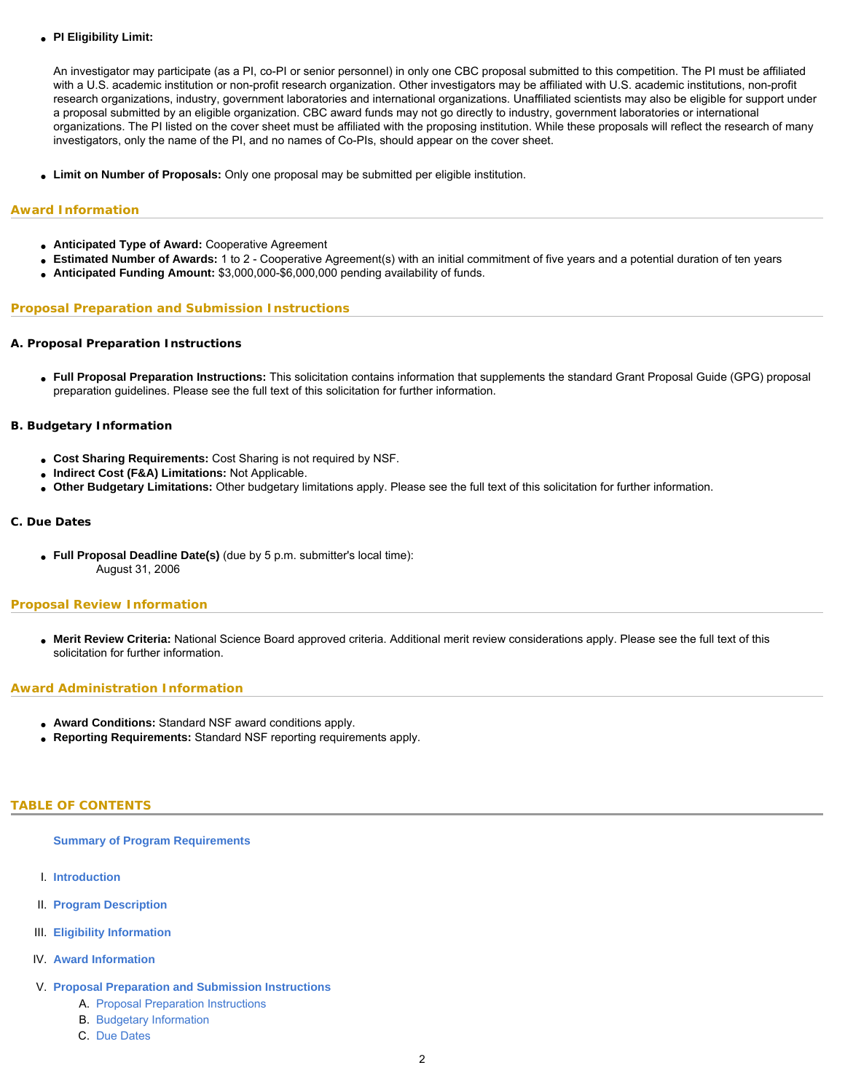### ● **PI Eligibility Limit:**

An investigator may participate (as a PI, co-PI or senior personnel) in only one CBC proposal submitted to this competition. The PI must be affiliated with a U.S. academic institution or non-profit research organization. Other investigators may be affiliated with U.S. academic institutions, non-profit research organizations, industry, government laboratories and international organizations. Unaffiliated scientists may also be eligible for support under a proposal submitted by an eligible organization. CBC award funds may not go directly to industry, government laboratories or international organizations. The PI listed on the cover sheet must be affiliated with the proposing institution. While these proposals will reflect the research of many investigators, only the name of the PI, and no names of Co-PIs, should appear on the cover sheet.

● **Limit on Number of Proposals:** Only one proposal may be submitted per eligible institution.

### **Award Information**

- **Anticipated Type of Award:** Cooperative Agreement
- Estimated Number of Awards: 1 to 2 Cooperative Agreement(s) with an initial commitment of five years and a potential duration of ten years
- **Anticipated Funding Amount:** \$3,000,000-\$6,000,000 pending availability of funds.

### **Proposal Preparation and Submission Instructions**

### **A. Proposal Preparation Instructions**

● **Full Proposal Preparation Instructions:** This solicitation contains information that supplements the standard Grant Proposal Guide (GPG) proposal preparation guidelines. Please see the full text of this solicitation for further information.

### **B. Budgetary Information**

- **Cost Sharing Requirements:** Cost Sharing is not required by NSF.
- **Indirect Cost (F&A) Limitations:** Not Applicable.
- **Other Budgetary Limitations:** Other budgetary limitations apply. Please see the full text of this solicitation for further information.

### **C. Due Dates**

● **Full Proposal Deadline Date(s)** (due by 5 p.m. submitter's local time): August 31, 2006

# **Proposal Review Information**

● **Merit Review Criteria:** National Science Board approved criteria. Additional merit review considerations apply. Please see the full text of this solicitation for further information.

### **Award Administration Information**

- **Award Conditions:** Standard NSF award conditions apply.
- **Reporting Requirements:** Standard NSF reporting requirements apply.

### <span id="page-1-0"></span>**TABLE OF CONTENTS**

#### **[Summary of Program Requirements](#page-0-0)**

- I. **[Introduction](#page-2-0)**
- II. **[Program Description](#page-2-1)**
- III. **[Eligibility Information](#page-3-0)**
- IV. **[Award Information](#page-3-1)**
- V. **[Proposal Preparation and Submission Instructions](#page-3-2)**
	- A. [Proposal Preparation Instructions](#page-3-2)
	- B. [Budgetary Information](#page-5-0)
	- C. [Due Dates](#page-5-1)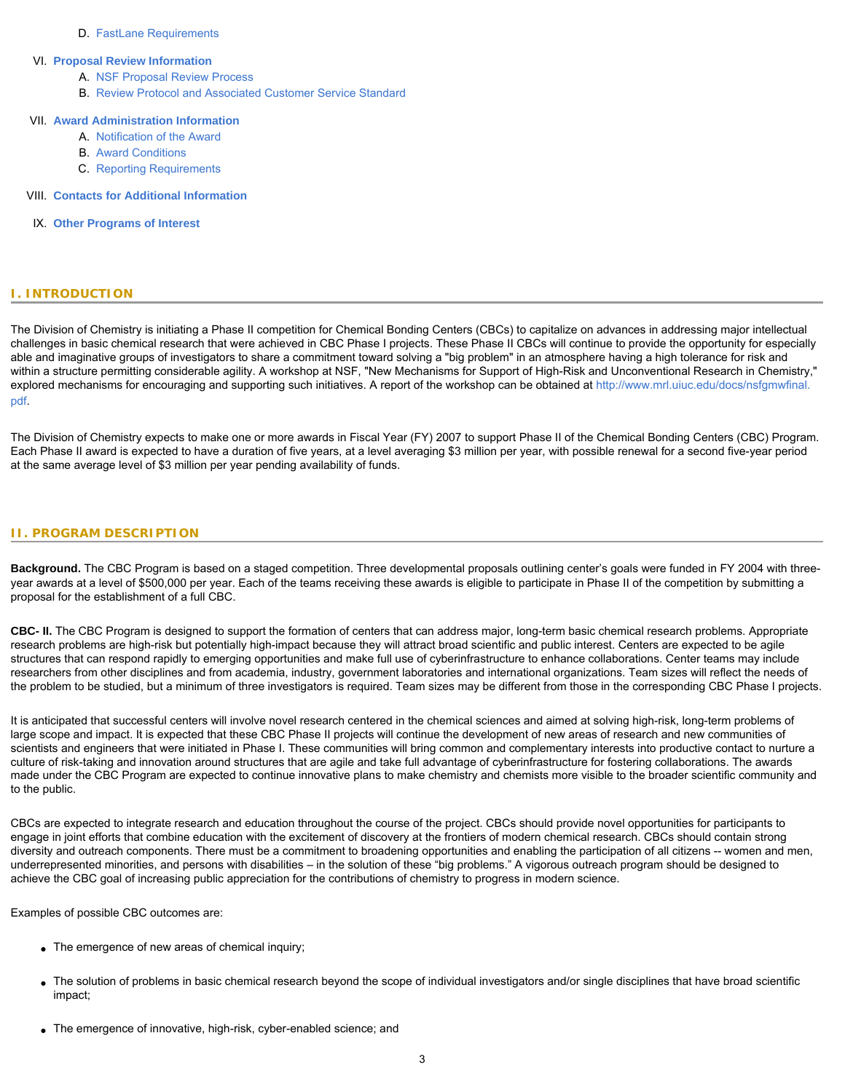### D. [FastLane Requirements](#page-6-0)

#### VI. **[Proposal Review Information](#page-6-1)**

- A. [NSF Proposal Review Process](#page-6-2)
- B. [Review Protocol and Associated Customer Service Standard](#page-7-0)

# VII. **[Award Administration Information](#page-7-1)**

- A. [Notification of the Award](#page-7-2)
- B. [Award Conditions](#page-7-3)
- C. [Reporting Requirements](#page-8-0)
- VIII. **[Contacts for Additional Information](#page-8-1)**
- <span id="page-2-0"></span>IX. **[Other Programs of Interest](#page-8-2)**

# **I. INTRODUCTION**

The Division of Chemistry is initiating a Phase II competition for Chemical Bonding Centers (CBCs) to capitalize on advances in addressing major intellectual challenges in basic chemical research that were achieved in CBC Phase I projects. These Phase II CBCs will continue to provide the opportunity for especially able and imaginative groups of investigators to share a commitment toward solving a "big problem" in an atmosphere having a high tolerance for risk and within a structure permitting considerable agility. A workshop at NSF, "New Mechanisms for Support of High-Risk and Unconventional Research in Chemistry," explored mechanisms for encouraging and supporting such initiatives. A report of the workshop can be obtained at [http://www.mrl.uiuc.edu/docs/nsfgmwfinal.](http://www.mrl.uiuc.edu/docs/nsfgmwfinal.pdf) [pdf](http://www.mrl.uiuc.edu/docs/nsfgmwfinal.pdf).

The Division of Chemistry expects to make one or more awards in Fiscal Year (FY) 2007 to support Phase II of the Chemical Bonding Centers (CBC) Program. Each Phase II award is expected to have a duration of five years, at a level averaging \$3 million per year, with possible renewal for a second five-year period at the same average level of \$3 million per year pending availability of funds.

#### <span id="page-2-1"></span>**II. PROGRAM DESCRIPTION**

**Background.** The CBC Program is based on a staged competition. Three developmental proposals outlining center's goals were funded in FY 2004 with threeyear awards at a level of \$500,000 per year. Each of the teams receiving these awards is eligible to participate in Phase II of the competition by submitting a proposal for the establishment of a full CBC.

**CBC- II.** The CBC Program is designed to support the formation of centers that can address major, long-term basic chemical research problems. Appropriate research problems are high-risk but potentially high-impact because they will attract broad scientific and public interest. Centers are expected to be agile structures that can respond rapidly to emerging opportunities and make full use of cyberinfrastructure to enhance collaborations. Center teams may include researchers from other disciplines and from academia, industry, government laboratories and international organizations. Team sizes will reflect the needs of the problem to be studied, but a minimum of three investigators is required. Team sizes may be different from those in the corresponding CBC Phase I projects.

It is anticipated that successful centers will involve novel research centered in the chemical sciences and aimed at solving high-risk, long-term problems of large scope and impact. It is expected that these CBC Phase II projects will continue the development of new areas of research and new communities of scientists and engineers that were initiated in Phase I. These communities will bring common and complementary interests into productive contact to nurture a culture of risk-taking and innovation around structures that are agile and take full advantage of cyberinfrastructure for fostering collaborations. The awards made under the CBC Program are expected to continue innovative plans to make chemistry and chemists more visible to the broader scientific community and to the public.

CBCs are expected to integrate research and education throughout the course of the project. CBCs should provide novel opportunities for participants to engage in joint efforts that combine education with the excitement of discovery at the frontiers of modern chemical research. CBCs should contain strong diversity and outreach components. There must be a commitment to broadening opportunities and enabling the participation of all citizens -- women and men, underrepresented minorities, and persons with disabilities – in the solution of these "big problems." A vigorous outreach program should be designed to achieve the CBC goal of increasing public appreciation for the contributions of chemistry to progress in modern science.

Examples of possible CBC outcomes are:

- The emergence of new areas of chemical inquiry;
- The solution of problems in basic chemical research beyond the scope of individual investigators and/or single disciplines that have broad scientific impact;
- The emergence of innovative, high-risk, cyber-enabled science; and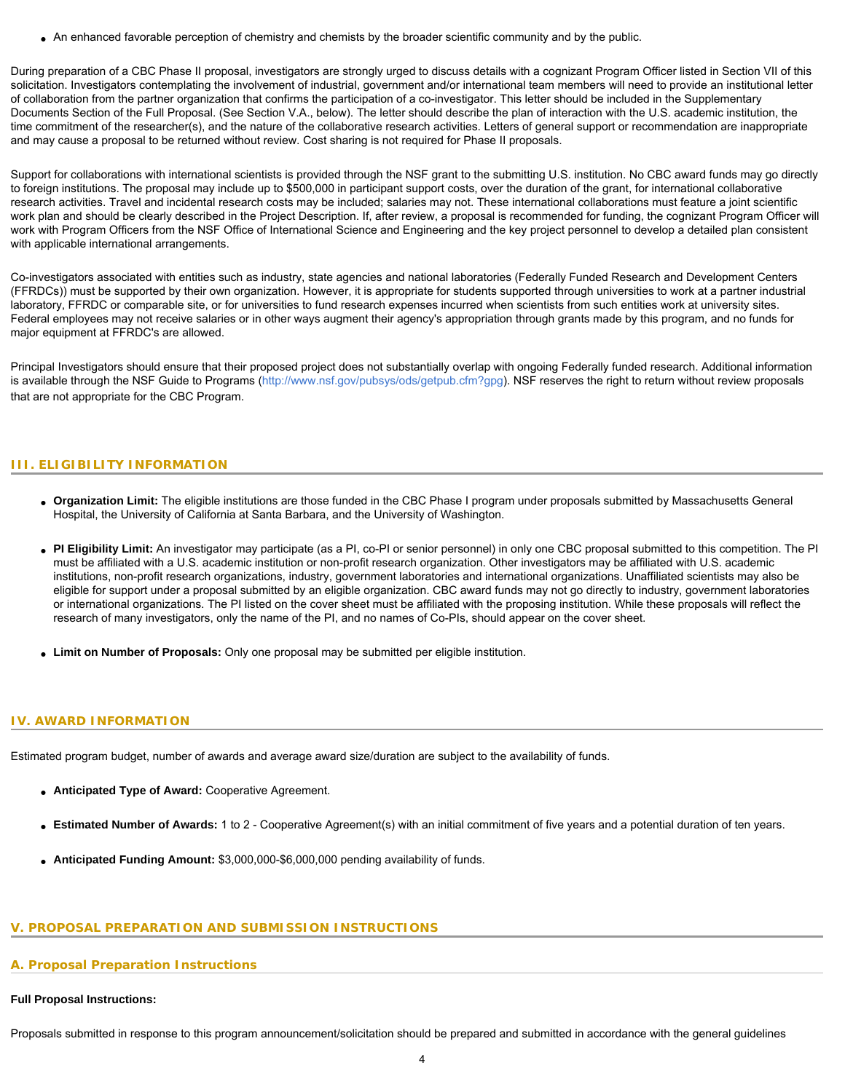• An enhanced favorable perception of chemistry and chemists by the broader scientific community and by the public.

During preparation of a CBC Phase II proposal, investigators are strongly urged to discuss details with a cognizant Program Officer listed in Section VII of this solicitation. Investigators contemplating the involvement of industrial, government and/or international team members will need to provide an institutional letter of collaboration from the partner organization that confirms the participation of a co-investigator. This letter should be included in the Supplementary Documents Section of the Full Proposal. (See Section V.A., below). The letter should describe the plan of interaction with the U.S. academic institution, the time commitment of the researcher(s), and the nature of the collaborative research activities. Letters of general support or recommendation are inappropriate and may cause a proposal to be returned without review. Cost sharing is not required for Phase II proposals.

Support for collaborations with international scientists is provided through the NSF grant to the submitting U.S. institution. No CBC award funds may go directly to foreign institutions. The proposal may include up to \$500,000 in participant support costs, over the duration of the grant, for international collaborative research activities. Travel and incidental research costs may be included; salaries may not. These international collaborations must feature a joint scientific work plan and should be clearly described in the Project Description. If, after review, a proposal is recommended for funding, the cognizant Program Officer will work with Program Officers from the NSF Office of International Science and Engineering and the key project personnel to develop a detailed plan consistent with applicable international arrangements.

Co-investigators associated with entities such as industry, state agencies and national laboratories (Federally Funded Research and Development Centers (FFRDCs)) must be supported by their own organization. However, it is appropriate for students supported through universities to work at a partner industrial laboratory, FFRDC or comparable site, or for universities to fund research expenses incurred when scientists from such entities work at university sites. Federal employees may not receive salaries or in other ways augment their agency's appropriation through grants made by this program, and no funds for major equipment at FFRDC's are allowed.

Principal Investigators should ensure that their proposed project does not substantially overlap with ongoing Federally funded research. Additional information is available through the NSF Guide to Programs ([http://www.nsf.gov/pubsys/ods/getpub.cfm?gpg\)](http://www.nsf.gov/pubsys/ods/getpub.cfm?gpg). NSF reserves the right to return without review proposals that are not appropriate for the CBC Program.

# <span id="page-3-0"></span>**III. ELIGIBILITY INFORMATION**

- **Organization Limit:** The eligible institutions are those funded in the CBC Phase I program under proposals submitted by Massachusetts General Hospital, the University of California at Santa Barbara, and the University of Washington.
- **PI Eligibility Limit:** An investigator may participate (as a PI, co-PI or senior personnel) in only one CBC proposal submitted to this competition. The PI must be affiliated with a U.S. academic institution or non-profit research organization. Other investigators may be affiliated with U.S. academic institutions, non-profit research organizations, industry, government laboratories and international organizations. Unaffiliated scientists may also be eligible for support under a proposal submitted by an eligible organization. CBC award funds may not go directly to industry, government laboratories or international organizations. The PI listed on the cover sheet must be affiliated with the proposing institution. While these proposals will reflect the research of many investigators, only the name of the PI, and no names of Co-PIs, should appear on the cover sheet.
- **Limit on Number of Proposals:** Only one proposal may be submitted per eligible institution.

### <span id="page-3-1"></span>**IV. AWARD INFORMATION**

Estimated program budget, number of awards and average award size/duration are subject to the availability of funds.

- **Anticipated Type of Award:** Cooperative Agreement.
- Estimated Number of Awards: 1 to 2 Cooperative Agreement(s) with an initial commitment of five years and a potential duration of ten years.
- **Anticipated Funding Amount:** \$3,000,000-\$6,000,000 pending availability of funds.

# <span id="page-3-2"></span>**V. PROPOSAL PREPARATION AND SUBMISSION INSTRUCTIONS**

# **A. Proposal Preparation Instructions**

# **Full Proposal Instructions:**

Proposals submitted in response to this program announcement/solicitation should be prepared and submitted in accordance with the general guidelines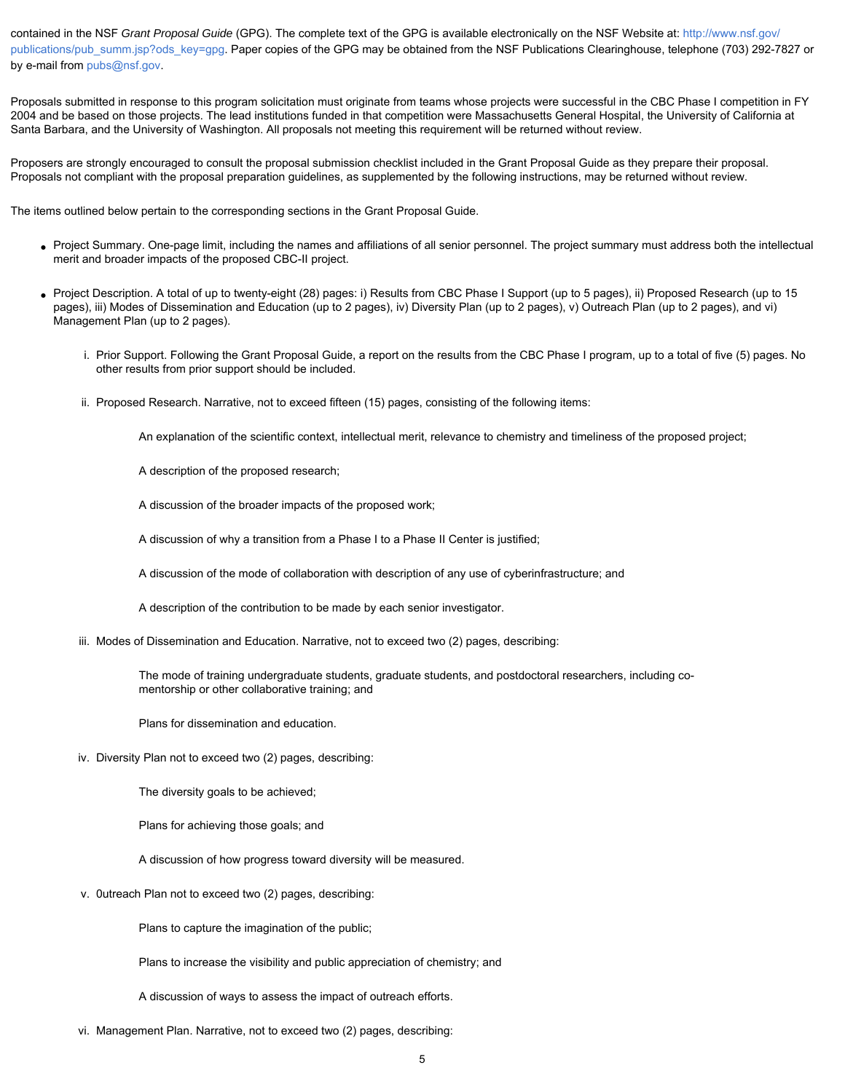contained in the NSF *Grant Proposal Guide* (GPG). The complete text of the GPG is available electronically on the NSF Website at: [http://www.nsf.gov/](http://www.nsf.gov/publications/pub_summ.jsp?ods_key=gpg) [publications/pub\\_summ.jsp?ods\\_key=gpg.](http://www.nsf.gov/publications/pub_summ.jsp?ods_key=gpg) Paper copies of the GPG may be obtained from the NSF Publications Clearinghouse, telephone (703) 292-7827 or by e-mail from [pubs@nsf.gov](mailto:pubs@nsf.gov).

Proposals submitted in response to this program solicitation must originate from teams whose projects were successful in the CBC Phase I competition in FY 2004 and be based on those projects. The lead institutions funded in that competition were Massachusetts General Hospital, the University of California at Santa Barbara, and the University of Washington. All proposals not meeting this requirement will be returned without review.

Proposers are strongly encouraged to consult the proposal submission checklist included in the Grant Proposal Guide as they prepare their proposal. Proposals not compliant with the proposal preparation guidelines, as supplemented by the following instructions, may be returned without review.

The items outlined below pertain to the corresponding sections in the Grant Proposal Guide.

- Project Summary. One-page limit, including the names and affiliations of all senior personnel. The project summary must address both the intellectual merit and broader impacts of the proposed CBC-II project.
- Project Description. A total of up to twenty-eight (28) pages: i) Results from CBC Phase I Support (up to 5 pages), ii) Proposed Research (up to 15 pages), iii) Modes of Dissemination and Education (up to 2 pages), iv) Diversity Plan (up to 2 pages), v) Outreach Plan (up to 2 pages), and vi) Management Plan (up to 2 pages).
	- i. Prior Support. Following the Grant Proposal Guide, a report on the results from the CBC Phase I program, up to a total of five (5) pages. No other results from prior support should be included.
	- ii. Proposed Research. Narrative, not to exceed fifteen (15) pages, consisting of the following items:

An explanation of the scientific context, intellectual merit, relevance to chemistry and timeliness of the proposed project;

A description of the proposed research;

A discussion of the broader impacts of the proposed work;

A discussion of why a transition from a Phase I to a Phase II Center is justified;

A discussion of the mode of collaboration with description of any use of cyberinfrastructure; and

A description of the contribution to be made by each senior investigator.

iii. Modes of Dissemination and Education. Narrative, not to exceed two (2) pages, describing:

The mode of training undergraduate students, graduate students, and postdoctoral researchers, including comentorship or other collaborative training; and

Plans for dissemination and education.

iv. Diversity Plan not to exceed two (2) pages, describing:

The diversity goals to be achieved;

Plans for achieving those goals; and

A discussion of how progress toward diversity will be measured.

v. 0utreach Plan not to exceed two (2) pages, describing:

Plans to capture the imagination of the public;

Plans to increase the visibility and public appreciation of chemistry; and

A discussion of ways to assess the impact of outreach efforts.

vi. Management Plan. Narrative, not to exceed two (2) pages, describing: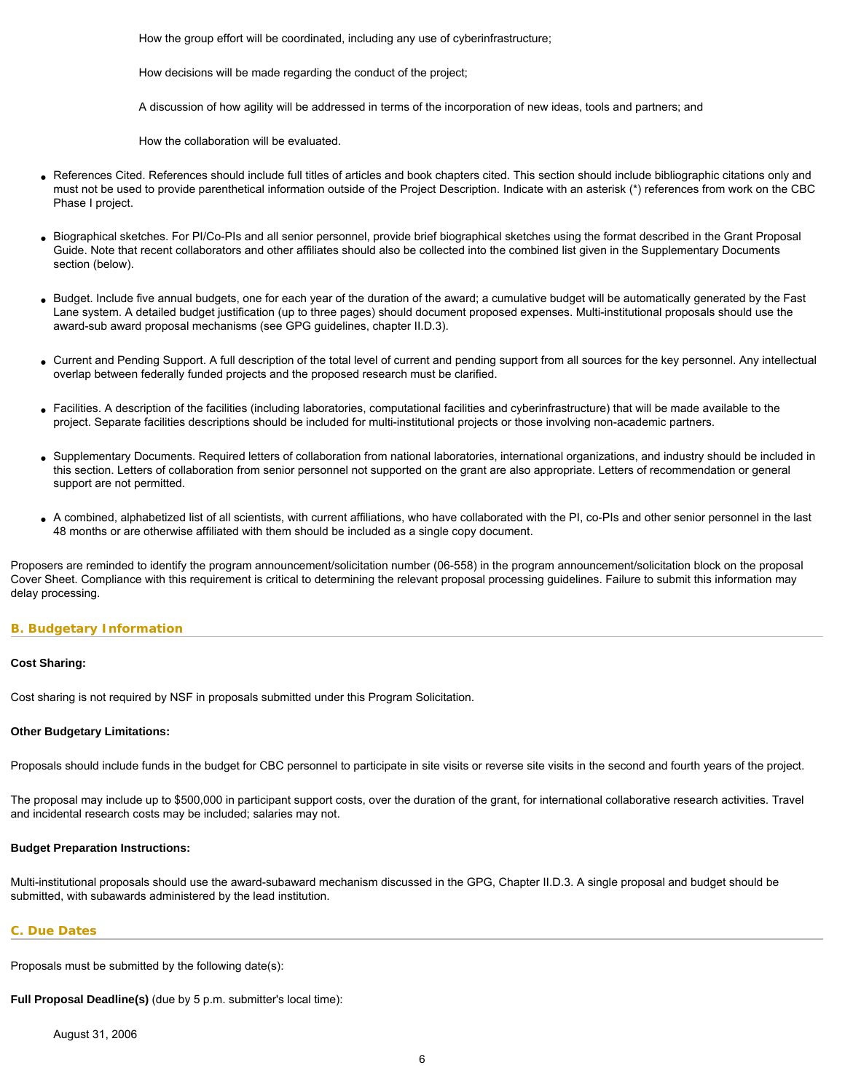How the group effort will be coordinated, including any use of cyberinfrastructure;

How decisions will be made regarding the conduct of the project;

A discussion of how agility will be addressed in terms of the incorporation of new ideas, tools and partners; and

How the collaboration will be evaluated.

- References Cited. References should include full titles of articles and book chapters cited. This section should include bibliographic citations only and must not be used to provide parenthetical information outside of the Project Description. Indicate with an asterisk (\*) references from work on the CBC Phase I project.
- Biographical sketches. For PI/Co-PIs and all senior personnel, provide brief biographical sketches using the format described in the Grant Proposal Guide. Note that recent collaborators and other affiliates should also be collected into the combined list given in the Supplementary Documents section (below).
- Budget. Include five annual budgets, one for each year of the duration of the award; a cumulative budget will be automatically generated by the Fast Lane system. A detailed budget justification (up to three pages) should document proposed expenses. Multi-institutional proposals should use the award-sub award proposal mechanisms (see GPG guidelines, chapter II.D.3).
- Current and Pending Support. A full description of the total level of current and pending support from all sources for the key personnel. Any intellectual overlap between federally funded projects and the proposed research must be clarified.
- Facilities. A description of the facilities (including laboratories, computational facilities and cyberinfrastructure) that will be made available to the project. Separate facilities descriptions should be included for multi-institutional projects or those involving non-academic partners.
- Supplementary Documents. Required letters of collaboration from national laboratories, international organizations, and industry should be included in this section. Letters of collaboration from senior personnel not supported on the grant are also appropriate. Letters of recommendation or general support are not permitted.
- A combined, alphabetized list of all scientists, with current affiliations, who have collaborated with the PI, co-PIs and other senior personnel in the last 48 months or are otherwise affiliated with them should be included as a single copy document.

Proposers are reminded to identify the program announcement/solicitation number (06-558) in the program announcement/solicitation block on the proposal Cover Sheet. Compliance with this requirement is critical to determining the relevant proposal processing guidelines. Failure to submit this information may delay processing.

### <span id="page-5-0"></span>**B. Budgetary Information**

#### **Cost Sharing:**

Cost sharing is not required by NSF in proposals submitted under this Program Solicitation.

#### **Other Budgetary Limitations:**

Proposals should include funds in the budget for CBC personnel to participate in site visits or reverse site visits in the second and fourth years of the project.

The proposal may include up to \$500,000 in participant support costs, over the duration of the grant, for international collaborative research activities. Travel and incidental research costs may be included; salaries may not.

### **Budget Preparation Instructions:**

Multi-institutional proposals should use the award-subaward mechanism discussed in the GPG, Chapter II.D.3. A single proposal and budget should be submitted, with subawards administered by the lead institution.

### <span id="page-5-1"></span>**C. Due Dates**

Proposals must be submitted by the following date(s):

**Full Proposal Deadline(s)** (due by 5 p.m. submitter's local time):

August 31, 2006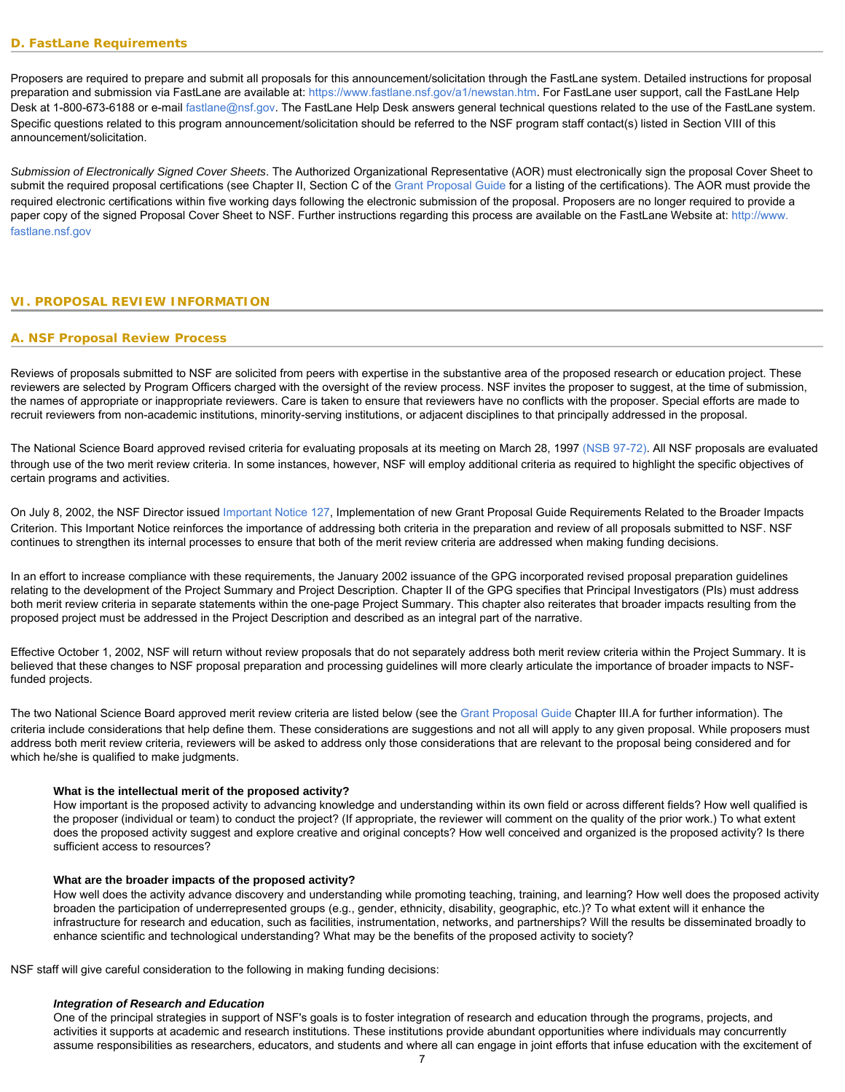<span id="page-6-0"></span>Proposers are required to prepare and submit all proposals for this announcement/solicitation through the FastLane system. Detailed instructions for proposal preparation and submission via FastLane are available at: [https://www.fastlane.nsf.gov/a1/newstan.htm.](https://www.fastlane.nsf.gov/a1/newstan.htm) For FastLane user support, call the FastLane Help Desk at 1-800-673-6188 or e-mail [fastlane@nsf.gov](mailto:fastlane@nsf.gov). The FastLane Help Desk answers general technical questions related to the use of the FastLane system. Specific questions related to this program announcement/solicitation should be referred to the NSF program staff contact(s) listed in Section VIII of this announcement/solicitation.

*Submission of Electronically Signed Cover Sheets*. The Authorized Organizational Representative (AOR) must electronically sign the proposal Cover Sheet to submit the required proposal certifications (see Chapter II, Section C of the [Grant Proposal Guide](http://www.nsf.gov/publications/pub_summ.jsp?ods_key=gpg) for a listing of the certifications). The AOR must provide the required electronic certifications within five working days following the electronic submission of the proposal. Proposers are no longer required to provide a paper copy of the signed Proposal Cover Sheet to NSF. Further instructions regarding this process are available on the FastLane Website at: [http://www.](http://www.fastlane.nsf.gov/) [fastlane.nsf.gov](http://www.fastlane.nsf.gov/)

### <span id="page-6-2"></span><span id="page-6-1"></span>**VI. PROPOSAL REVIEW INFORMATION**

### **A. NSF Proposal Review Process**

Reviews of proposals submitted to NSF are solicited from peers with expertise in the substantive area of the proposed research or education project. These reviewers are selected by Program Officers charged with the oversight of the review process. NSF invites the proposer to suggest, at the time of submission, the names of appropriate or inappropriate reviewers. Care is taken to ensure that reviewers have no conflicts with the proposer. Special efforts are made to recruit reviewers from non-academic institutions, minority-serving institutions, or adjacent disciplines to that principally addressed in the proposal.

The National Science Board approved revised criteria for evaluating proposals at its meeting on March 28, 1997 [\(NSB 97-72\).](http://www.nsf.gov/publications/pub_summ.jsp?ods_key=nsb9772) All NSF proposals are evaluated through use of the two merit review criteria. In some instances, however, NSF will employ additional criteria as required to highlight the specific objectives of certain programs and activities.

On July 8, 2002, the NSF Director issued [Important Notice 127](http://www.nsf.gov/publications/pub_summ.jsp?ods_key=iin127), Implementation of new Grant Proposal Guide Requirements Related to the Broader Impacts Criterion. This Important Notice reinforces the importance of addressing both criteria in the preparation and review of all proposals submitted to NSF. NSF continues to strengthen its internal processes to ensure that both of the merit review criteria are addressed when making funding decisions.

In an effort to increase compliance with these requirements, the January 2002 issuance of the GPG incorporated revised proposal preparation guidelines relating to the development of the Project Summary and Project Description. Chapter II of the GPG specifies that Principal Investigators (PIs) must address both merit review criteria in separate statements within the one-page Project Summary. This chapter also reiterates that broader impacts resulting from the proposed project must be addressed in the Project Description and described as an integral part of the narrative.

Effective October 1, 2002, NSF will return without review proposals that do not separately address both merit review criteria within the Project Summary. It is believed that these changes to NSF proposal preparation and processing guidelines will more clearly articulate the importance of broader impacts to NSFfunded projects.

The two National Science Board approved merit review criteria are listed below (see the [Grant Proposal Guide](http://www.nsf.gov/publications/pub_summ.jsp?ods_key=gpg) Chapter III.A for further information). The criteria include considerations that help define them. These considerations are suggestions and not all will apply to any given proposal. While proposers must address both merit review criteria, reviewers will be asked to address only those considerations that are relevant to the proposal being considered and for which he/she is qualified to make judgments.

#### **What is the intellectual merit of the proposed activity?**

How important is the proposed activity to advancing knowledge and understanding within its own field or across different fields? How well qualified is the proposer (individual or team) to conduct the project? (If appropriate, the reviewer will comment on the quality of the prior work.) To what extent does the proposed activity suggest and explore creative and original concepts? How well conceived and organized is the proposed activity? Is there sufficient access to resources?

#### **What are the broader impacts of the proposed activity?**

How well does the activity advance discovery and understanding while promoting teaching, training, and learning? How well does the proposed activity broaden the participation of underrepresented groups (e.g., gender, ethnicity, disability, geographic, etc.)? To what extent will it enhance the infrastructure for research and education, such as facilities, instrumentation, networks, and partnerships? Will the results be disseminated broadly to enhance scientific and technological understanding? What may be the benefits of the proposed activity to society?

NSF staff will give careful consideration to the following in making funding decisions:

#### *Integration of Research and Education*

One of the principal strategies in support of NSF's goals is to foster integration of research and education through the programs, projects, and activities it supports at academic and research institutions. These institutions provide abundant opportunities where individuals may concurrently assume responsibilities as researchers, educators, and students and where all can engage in joint efforts that infuse education with the excitement of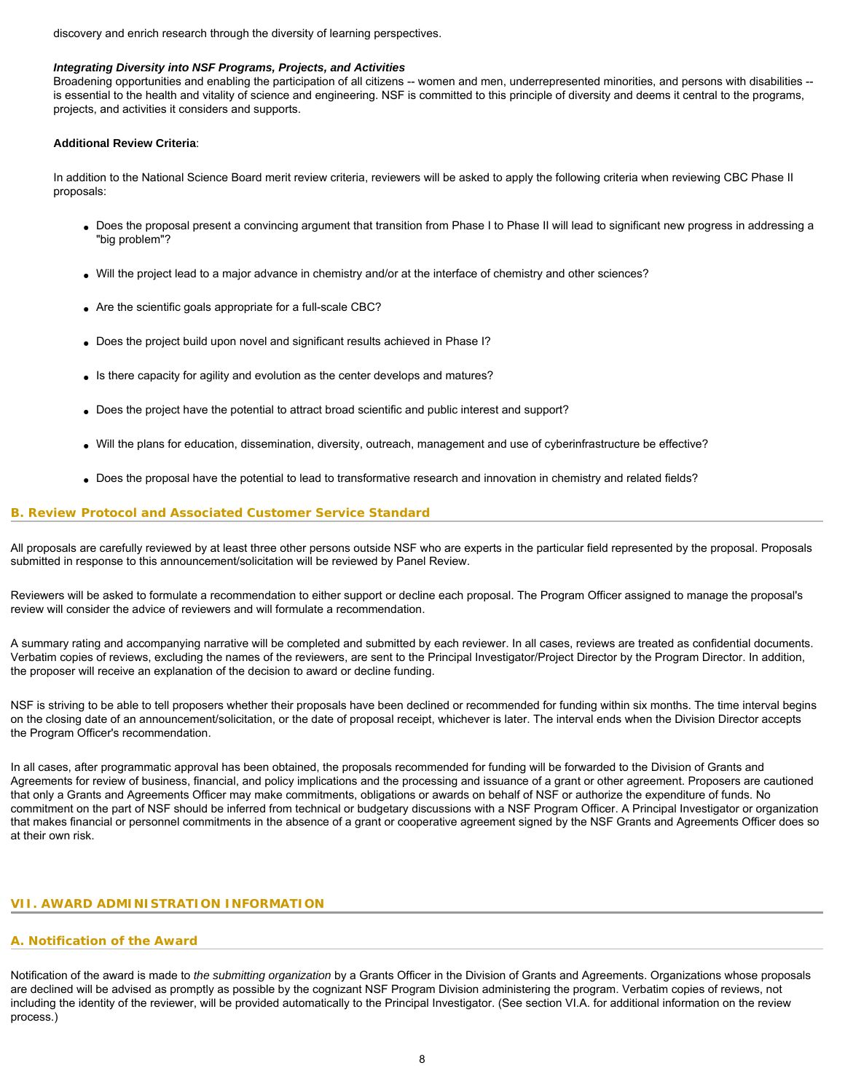discovery and enrich research through the diversity of learning perspectives.

### *Integrating Diversity into NSF Programs, Projects, and Activities*

Broadening opportunities and enabling the participation of all citizens -- women and men, underrepresented minorities, and persons with disabilities -is essential to the health and vitality of science and engineering. NSF is committed to this principle of diversity and deems it central to the programs, projects, and activities it considers and supports.

### **Additional Review Criteria**:

In addition to the National Science Board merit review criteria, reviewers will be asked to apply the following criteria when reviewing CBC Phase II proposals:

- Does the proposal present a convincing argument that transition from Phase I to Phase II will lead to significant new progress in addressing a "big problem"?
- Will the project lead to a major advance in chemistry and/or at the interface of chemistry and other sciences?
- Are the scientific goals appropriate for a full-scale CBC?
- Does the project build upon novel and significant results achieved in Phase I?
- Is there capacity for agility and evolution as the center develops and matures?
- Does the project have the potential to attract broad scientific and public interest and support?
- Will the plans for education, dissemination, diversity, outreach, management and use of cyberinfrastructure be effective?
- Does the proposal have the potential to lead to transformative research and innovation in chemistry and related fields?

#### <span id="page-7-0"></span>**B. Review Protocol and Associated Customer Service Standard**

All proposals are carefully reviewed by at least three other persons outside NSF who are experts in the particular field represented by the proposal. Proposals submitted in response to this announcement/solicitation will be reviewed by Panel Review.

Reviewers will be asked to formulate a recommendation to either support or decline each proposal. The Program Officer assigned to manage the proposal's review will consider the advice of reviewers and will formulate a recommendation.

A summary rating and accompanying narrative will be completed and submitted by each reviewer. In all cases, reviews are treated as confidential documents. Verbatim copies of reviews, excluding the names of the reviewers, are sent to the Principal Investigator/Project Director by the Program Director. In addition, the proposer will receive an explanation of the decision to award or decline funding.

NSF is striving to be able to tell proposers whether their proposals have been declined or recommended for funding within six months. The time interval begins on the closing date of an announcement/solicitation, or the date of proposal receipt, whichever is later. The interval ends when the Division Director accepts the Program Officer's recommendation.

In all cases, after programmatic approval has been obtained, the proposals recommended for funding will be forwarded to the Division of Grants and Agreements for review of business, financial, and policy implications and the processing and issuance of a grant or other agreement. Proposers are cautioned that only a Grants and Agreements Officer may make commitments, obligations or awards on behalf of NSF or authorize the expenditure of funds. No commitment on the part of NSF should be inferred from technical or budgetary discussions with a NSF Program Officer. A Principal Investigator or organization that makes financial or personnel commitments in the absence of a grant or cooperative agreement signed by the NSF Grants and Agreements Officer does so at their own risk.

### <span id="page-7-2"></span><span id="page-7-1"></span>**VII. AWARD ADMINISTRATION INFORMATION**

#### **A. Notification of the Award**

<span id="page-7-3"></span>Notification of the award is made to *the submitting organization* by a Grants Officer in the Division of Grants and Agreements. Organizations whose proposals are declined will be advised as promptly as possible by the cognizant NSF Program Division administering the program. Verbatim copies of reviews, not including the identity of the reviewer, will be provided automatically to the Principal Investigator. (See section VI.A. for additional information on the review process.)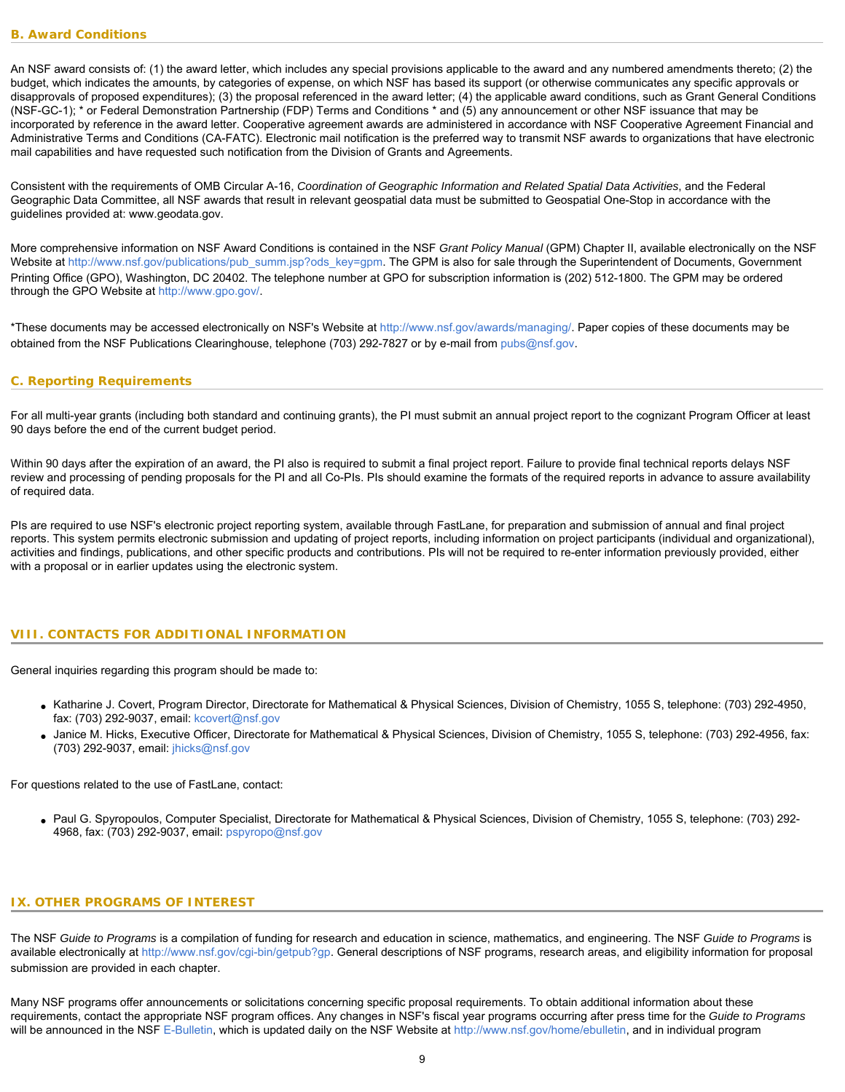An NSF award consists of: (1) the award letter, which includes any special provisions applicable to the award and any numbered amendments thereto; (2) the budget, which indicates the amounts, by categories of expense, on which NSF has based its support (or otherwise communicates any specific approvals or disapprovals of proposed expenditures); (3) the proposal referenced in the award letter; (4) the applicable award conditions, such as Grant General Conditions (NSF-GC-1); \* or Federal Demonstration Partnership (FDP) Terms and Conditions \* and (5) any announcement or other NSF issuance that may be incorporated by reference in the award letter. Cooperative agreement awards are administered in accordance with NSF Cooperative Agreement Financial and Administrative Terms and Conditions (CA-FATC). Electronic mail notification is the preferred way to transmit NSF awards to organizations that have electronic mail capabilities and have requested such notification from the Division of Grants and Agreements.

Consistent with the requirements of OMB Circular A-16, *Coordination of Geographic Information and Related Spatial Data Activities*, and the Federal Geographic Data Committee, all NSF awards that result in relevant geospatial data must be submitted to Geospatial One-Stop in accordance with the guidelines provided at: [www.geodata.gov.](http://www.geodata.gov)

More comprehensive information on NSF Award Conditions is contained in the NSF *Grant Policy Manual* (GPM) Chapter II, available electronically on the NSF Website at [http://www.nsf.gov/publications/pub\\_summ.jsp?ods\\_key=gpm](http://www.nsf.gov/publications/pub_summ.jsp?ods_key=gpm). The GPM is also for sale through the Superintendent of Documents, Government Printing Office (GPO), Washington, DC 20402. The telephone number at GPO for subscription information is (202) 512-1800. The GPM may be ordered through the GPO Website at <http://www.gpo.gov/>.

\*These documents may be accessed electronically on NSF's Website at<http://www.nsf.gov/awards/managing/>. Paper copies of these documents may be obtained from the NSF Publications Clearinghouse, telephone (703) 292-7827 or by e-mail from [pubs@nsf.gov](mailto:pubs@nsf.gov).

#### <span id="page-8-0"></span>**C. Reporting Requirements**

For all multi-year grants (including both standard and continuing grants), the PI must submit an annual project report to the cognizant Program Officer at least 90 days before the end of the current budget period.

Within 90 days after the expiration of an award, the PI also is required to submit a final project report. Failure to provide final technical reports delays NSF review and processing of pending proposals for the PI and all Co-PIs. PIs should examine the formats of the required reports in advance to assure availability of required data.

<span id="page-8-1"></span>PIs are required to use NSF's electronic project reporting system, available through FastLane, for preparation and submission of annual and final project reports. This system permits electronic submission and updating of project reports, including information on project participants (individual and organizational), activities and findings, publications, and other specific products and contributions. PIs will not be required to re-enter information previously provided, either with a proposal or in earlier updates using the electronic system.

# **VIII. CONTACTS FOR ADDITIONAL INFORMATION**

General inquiries regarding this program should be made to:

- Katharine J. Covert, Program Director, Directorate for Mathematical & Physical Sciences, Division of Chemistry, 1055 S, telephone: (703) 292-4950, fax: (703) 292-9037, email: [kcovert@nsf.gov](mailto:kcovert@nsf.gov)
- Janice M. Hicks, Executive Officer, Directorate for Mathematical & Physical Sciences, Division of Chemistry, 1055 S, telephone: (703) 292-4956, fax: (703) 292-9037, email: [jhicks@nsf.gov](mailto:jhicks@nsf.gov)

For questions related to the use of FastLane, contact:

● Paul G. Spyropoulos, Computer Specialist, Directorate for Mathematical & Physical Sciences, Division of Chemistry, 1055 S, telephone: (703) 292- 4968, fax: (703) 292-9037, email: [pspyropo@nsf.gov](mailto:pspyropo@nsf.gov)

# <span id="page-8-2"></span>**IX. OTHER PROGRAMS OF INTEREST**

The NSF *Guide to Programs* is a compilation of funding for research and education in science, mathematics, and engineering. The NSF *Guide to Programs* is available electronically at [http://www.nsf.gov/cgi-bin/getpub?gp.](http://www.nsf.gov/cgi-bin/getpub?gp) General descriptions of NSF programs, research areas, and eligibility information for proposal submission are provided in each chapter.

Many NSF programs offer announcements or solicitations concerning specific proposal requirements. To obtain additional information about these requirements, contact the appropriate NSF program offices. Any changes in NSF's fiscal year programs occurring after press time for the *Guide to Programs* will be announced in the NSF [E-Bulletin](http://www.nsf.gov/home/ebulletin), which is updated daily on the NSF Website at [http://www.nsf.gov/home/ebulletin,](http://www.nsf.gov/home/ebulletin) and in individual program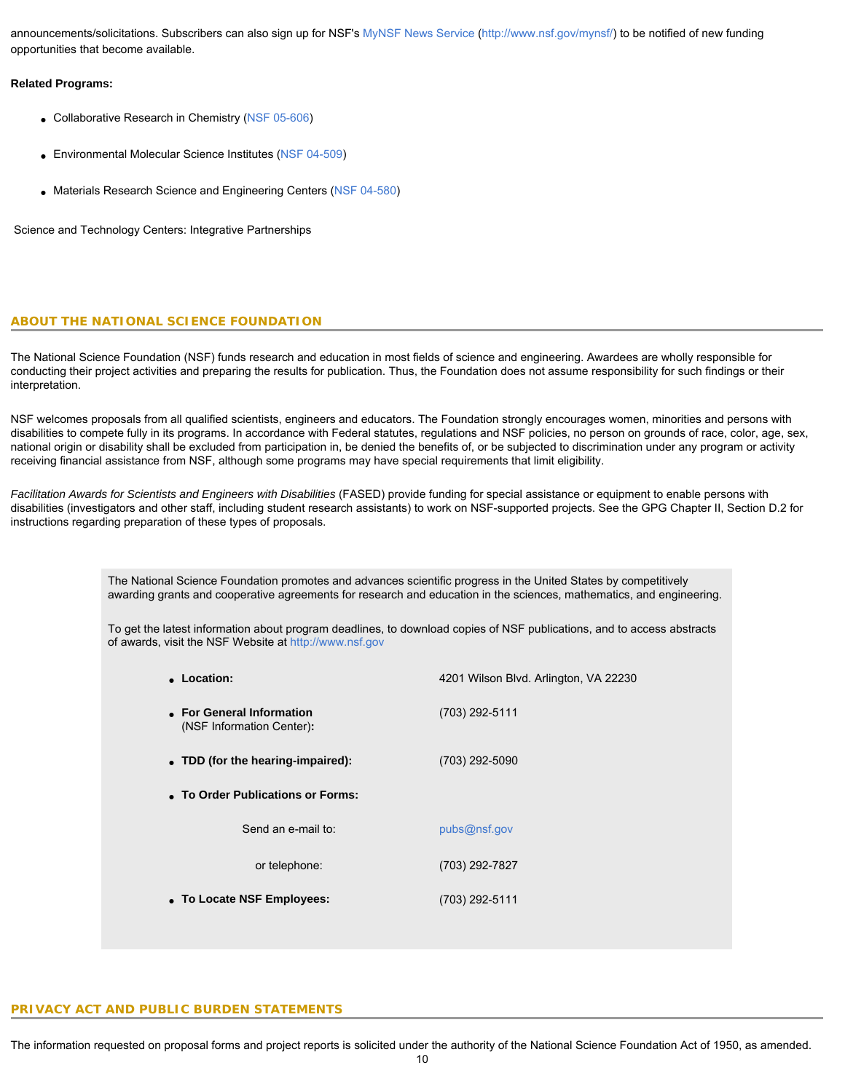announcements/solicitations. Subscribers can also sign up for NSF's [MyNSF News Service](http://www.nsf.gov/mynsf/) [\(http://www.nsf.gov/mynsf/](http://www.nsf.gov/mynsf/)) to be notified of new funding opportunities that become available.

### **Related Programs:**

- Collaborative Research in Chemistry [\(NSF 05-606](http://www.nsf.gov/cgi-bin/getpub?nsf05606))
- Environmental Molecular Science Institutes [\(NSF 04-509](http://www.nsf.gov/cgi-bin/getpub?nsf04509))
- Materials Research Science and Engineering Centers [\(NSF 04-580](http://www.nsf.gov/cgi-bin/getpub?nsf04580))

Science and Technology Centers: Integrative Partnerships

# **ABOUT THE NATIONAL SCIENCE FOUNDATION**

The National Science Foundation (NSF) funds research and education in most fields of science and engineering. Awardees are wholly responsible for conducting their project activities and preparing the results for publication. Thus, the Foundation does not assume responsibility for such findings or their interpretation.

NSF welcomes proposals from all qualified scientists, engineers and educators. The Foundation strongly encourages women, minorities and persons with disabilities to compete fully in its programs. In accordance with Federal statutes, regulations and NSF policies, no person on grounds of race, color, age, sex, national origin or disability shall be excluded from participation in, be denied the benefits of, or be subjected to discrimination under any program or activity receiving financial assistance from NSF, although some programs may have special requirements that limit eligibility.

*Facilitation Awards for Scientists and Engineers with Disabilities* (FASED) provide funding for special assistance or equipment to enable persons with disabilities (investigators and other staff, including student research assistants) to work on NSF-supported projects. See the GPG Chapter II, Section D.2 for instructions regarding preparation of these types of proposals.

> The National Science Foundation promotes and advances scientific progress in the United States by competitively awarding grants and cooperative agreements for research and education in the sciences, mathematics, and engineering.

> To get the latest information about program deadlines, to download copies of NSF publications, and to access abstracts of awards, visit the NSF Website at [http://www.nsf.gov](http://www.nsf.gov/)

| • Location:                                            | 4201 Wilson Blvd. Arlington, VA 22230 |
|--------------------------------------------------------|---------------------------------------|
| • For General Information<br>(NSF Information Center): | (703) 292-5111                        |
| • TDD (for the hearing-impaired):                      | (703) 292-5090                        |
| • To Order Publications or Forms:                      |                                       |
| Send an e-mail to:                                     | pubs@nsf.gov                          |
| or telephone:                                          | (703) 292-7827                        |
| • To Locate NSF Employees:                             | (703) 292-5111                        |

# **PRIVACY ACT AND PUBLIC BURDEN STATEMENTS**